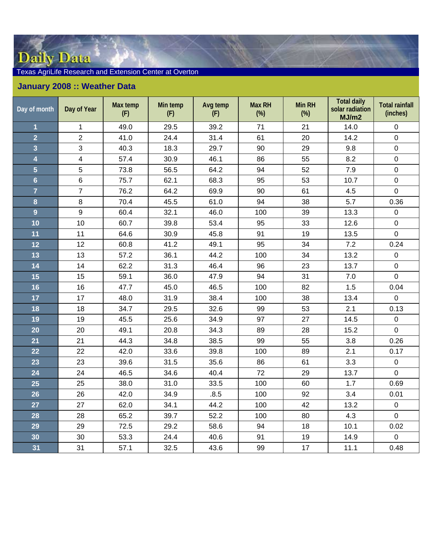## Daily Data

## Texas AgriLife Research and Extension Center at Overton

## **January 2008 :: Weather Data**

| Day of month            | Day of Year    | Max temp<br>(F) | Min temp<br>(F) | Avg temp<br>(F) | <b>Max RH</b><br>$(\%)$ | Min RH<br>$(\%)$ | <b>Total daily</b><br>solar radiation<br>MJ/m2 | <b>Total rainfall</b><br>(inches) |
|-------------------------|----------------|-----------------|-----------------|-----------------|-------------------------|------------------|------------------------------------------------|-----------------------------------|
| $\overline{\mathbf{1}}$ | $\mathbf 1$    | 49.0            | 29.5            | 39.2            | 71                      | 21               | 14.0                                           | $\pmb{0}$                         |
| $\overline{2}$          | $\overline{2}$ | 41.0            | 24.4            | 31.4            | 61                      | 20               | 14.2                                           | $\mathbf 0$                       |
| 3                       | $\mathbf{3}$   | 40.3            | 18.3            | 29.7            | 90                      | 29               | 9.8                                            | $\pmb{0}$                         |
| 4                       | $\overline{4}$ | 57.4            | 30.9            | 46.1            | 86                      | 55               | 8.2                                            | $\pmb{0}$                         |
| $\overline{5}$          | 5              | 73.8            | 56.5            | 64.2            | 94                      | 52               | 7.9                                            | $\pmb{0}$                         |
| $6\phantom{a}$          | $\,6\,$        | 75.7            | 62.1            | 68.3            | 95                      | 53               | 10.7                                           | $\mathbf 0$                       |
| $\overline{7}$          | $\overline{7}$ | 76.2            | 64.2            | 69.9            | 90                      | 61               | 4.5                                            | $\pmb{0}$                         |
| 8                       | $\bf 8$        | 70.4            | 45.5            | 61.0            | 94                      | 38               | 5.7                                            | 0.36                              |
| 9                       | 9              | 60.4            | 32.1            | 46.0            | 100                     | 39               | 13.3                                           | $\mathbf 0$                       |
| 10                      | 10             | 60.7            | 39.8            | 53.4            | 95                      | 33               | 12.6                                           | $\mathbf 0$                       |
| 11                      | 11             | 64.6            | 30.9            | 45.8            | 91                      | 19               | 13.5                                           | $\mathbf 0$                       |
| 12                      | 12             | 60.8            | 41.2            | 49.1            | 95                      | 34               | 7.2                                            | 0.24                              |
| 13                      | 13             | 57.2            | 36.1            | 44.2            | 100                     | 34               | 13.2                                           | $\mathbf 0$                       |
| 14                      | 14             | 62.2            | 31.3            | 46.4            | 96                      | 23               | 13.7                                           | $\mathbf 0$                       |
| 15                      | 15             | 59.1            | 36.0            | 47.9            | 94                      | 31               | 7.0                                            | $\mathsf 0$                       |
| 16                      | 16             | 47.7            | 45.0            | 46.5            | 100                     | 82               | 1.5                                            | 0.04                              |
| 17                      | 17             | 48.0            | 31.9            | 38.4            | 100                     | 38               | 13.4                                           | $\pmb{0}$                         |
| 18                      | 18             | 34.7            | 29.5            | 32.6            | 99                      | 53               | 2.1                                            | 0.13                              |
| 19                      | 19             | 45.5            | 25.6            | 34.9            | 97                      | 27               | 14.5                                           | $\pmb{0}$                         |
| 20                      | 20             | 49.1            | 20.8            | 34.3            | 89                      | 28               | 15.2                                           | $\pmb{0}$                         |
| 21                      | 21             | 44.3            | 34.8            | 38.5            | 99                      | 55               | 3.8                                            | 0.26                              |
| 22                      | 22             | 42.0            | 33.6            | 39.8            | 100                     | 89               | 2.1                                            | 0.17                              |
| 23                      | 23             | 39.6            | 31.5            | 35.6            | 86                      | 61               | 3.3                                            | $\pmb{0}$                         |
| 24                      | 24             | 46.5            | 34.6            | 40.4            | 72                      | 29               | 13.7                                           | $\mathsf 0$                       |
| 25                      | 25             | 38.0            | 31.0            | 33.5            | 100                     | 60               | 1.7                                            | 0.69                              |
| 26                      | 26             | 42.0            | 34.9            | .8.5            | 100                     | 92               | 3.4                                            | 0.01                              |
| 27                      | 27             | 62.0            | 34.1            | 44.2            | 100                     | 42               | 13.2                                           | $\pmb{0}$                         |
| 28                      | 28             | 65.2            | 39.7            | 52.2            | 100                     | 80               | 4.3                                            | $\pmb{0}$                         |
| 29                      | 29             | 72.5            | 29.2            | 58.6            | 94                      | 18               | 10.1                                           | 0.02                              |
| 30                      | 30             | 53.3            | 24.4            | 40.6            | 91                      | 19               | 14.9                                           | $\pmb{0}$                         |
| 31                      | 31             | 57.1            | 32.5            | 43.6            | 99                      | 17               | 11.1                                           | 0.48                              |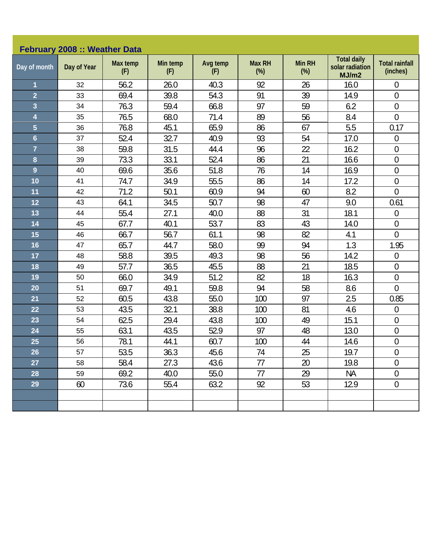|                | February 2008 :: Weather Data |                 |                 |                 |                         |                         |                                                |                                   |  |  |  |  |
|----------------|-------------------------------|-----------------|-----------------|-----------------|-------------------------|-------------------------|------------------------------------------------|-----------------------------------|--|--|--|--|
| Day of month   | Day of Year                   | Max temp<br>(F) | Min temp<br>(F) | Avg temp<br>(F) | <b>Max RH</b><br>$(\%)$ | <b>Min RH</b><br>$(\%)$ | <b>Total daily</b><br>solar radiation<br>MJ/m2 | <b>Total rainfall</b><br>(inches) |  |  |  |  |
| 1              | 32                            | 56.2            | 26.0            | 40.3            | 92                      | 26                      | 16.0                                           | $\boldsymbol{0}$                  |  |  |  |  |
| $\overline{2}$ | 33                            | 69.4            | 39.8            | 54.3            | 91                      | 39                      | 14.9                                           | $\mathbf 0$                       |  |  |  |  |
| 3              | 34                            | 76.3            | 59.4            | 66.8            | 97                      | 59                      | 6.2                                            | $\boldsymbol{0}$                  |  |  |  |  |
| 4              | 35                            | 76.5            | 68.0            | 71.4            | 89                      | 56                      | 8.4                                            | $\overline{0}$                    |  |  |  |  |
| 5              | 36                            | 76.8            | 45.1            | 65.9            | 86                      | 67                      | 5.5                                            | 0.17                              |  |  |  |  |
| $6\phantom{a}$ | 37                            | 52.4            | 32.7            | 40.9            | 93                      | 54                      | 17.0                                           | $\mathbf 0$                       |  |  |  |  |
| $\overline{7}$ | 38                            | 59.8            | 31.5            | 44.4            | 96                      | 22                      | 16.2                                           | $\mathbf 0$                       |  |  |  |  |
| 8              | 39                            | 73.3            | 33.1            | 52.4            | 86                      | 21                      | 16.6                                           | $\boldsymbol{0}$                  |  |  |  |  |
| $\overline{9}$ | 40                            | 69.6            | 35.6            | 51.8            | 76                      | 14                      | 16.9                                           | $\overline{0}$                    |  |  |  |  |
| 10             | 41                            | 74.7            | 34.9            | 55.5            | 86                      | 14                      | 17.2                                           | $\mathbf 0$                       |  |  |  |  |
| 11             | 42                            | 71.2            | 50.1            | 60.9            | 94                      | 60                      | 8.2                                            | $\overline{0}$                    |  |  |  |  |
| 12             | 43                            | 64.1            | 34.5            | 50.7            | 98                      | 47                      | 9.0                                            | 0.61                              |  |  |  |  |
| 13             | 44                            | 55.4            | 27.1            | 40.0            | 88                      | 31                      | 18.1                                           | $\mathbf 0$                       |  |  |  |  |
| 14             | 45                            | 67.7            | 40.1            | 53.7            | 83                      | 43                      | 14.0                                           | $\mathbf 0$                       |  |  |  |  |
| 15             | 46                            | 66.7            | 56.7            | 61.1            | 98                      | 82                      | 4.1                                            | $\overline{0}$                    |  |  |  |  |
| 16             | 47                            | 65.7            | 44.7            | 58.0            | 99                      | 94                      | 1.3                                            | 1.95                              |  |  |  |  |
| 17             | 48                            | 58.8            | 39.5            | 49.3            | 98                      | 56                      | 14.2                                           | $\boldsymbol{0}$                  |  |  |  |  |
| 18             | 49                            | 57.7            | 36.5            | 45.5            | 88                      | 21                      | 18.5                                           | $\boldsymbol{0}$                  |  |  |  |  |
| 19             | 50                            | 66.0            | 34.9            | 51.2            | 82                      | 18                      | 16.3                                           | $\boldsymbol{0}$                  |  |  |  |  |
| 20             | 51                            | 69.7            | 49.1            | 59.8            | 94                      | 58                      | 8.6                                            | $\overline{0}$                    |  |  |  |  |
| 21             | 52                            | 60.5            | 43.8            | 55.0            | 100                     | 97                      | 2.5                                            | 0.85                              |  |  |  |  |
| 22             | 53                            | 43.5            | 32.1            | 38.8            | 100                     | 81                      | 4.6                                            | $\mathbf 0$                       |  |  |  |  |
| 23             | 54                            | 62.5            | 29.4            | 43.8            | 100                     | 49                      | 15.1                                           | $\boldsymbol{0}$                  |  |  |  |  |
| 24             | 55                            | 63.1            | 43.5            | 52.9            | 97                      | 48                      | 13.0                                           | $\mathbf 0$                       |  |  |  |  |
| 25             | 56                            | 78.1            | 44.1            | 60.7            | 100                     | 44                      | 14.6                                           | $\boldsymbol{0}$                  |  |  |  |  |
| 26             | 57                            | 53.5            | 36.3            | 45.6            | 74                      | 25                      | 19.7                                           | $\overline{0}$                    |  |  |  |  |
| 27             | 58                            | 58.4            | 27.3            | 43.6            | 77                      | 20                      | 19.8                                           | $\theta$                          |  |  |  |  |
| 28             | 59                            | 69.2            | 40.0            | 55.0            | 77                      | 29                      | <b>NA</b>                                      | $\boldsymbol{0}$                  |  |  |  |  |
| 29             | 60                            | 73.6            | 55.4            | 63.2            | 92                      | 53                      | 12.9                                           | $\boldsymbol{0}$                  |  |  |  |  |
|                |                               |                 |                 |                 |                         |                         |                                                |                                   |  |  |  |  |
|                |                               |                 |                 |                 |                         |                         |                                                |                                   |  |  |  |  |
|                |                               |                 |                 |                 |                         |                         |                                                |                                   |  |  |  |  |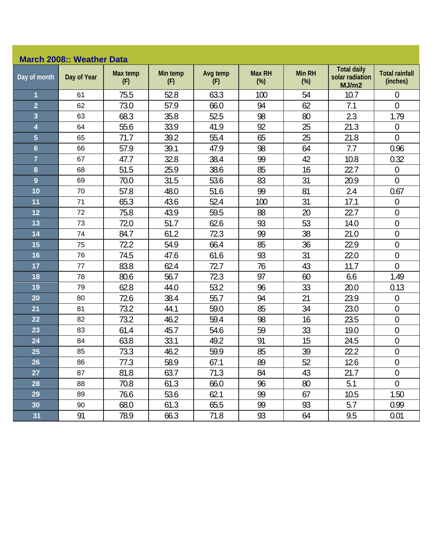## **March 2008:: Weather Data**

| Day of month            | Day of Year | Max temp<br>(F) | Min temp<br>(F) | Avg temp<br>(F) | <b>Max RH</b><br>$(\%)$ | <b>Min RH</b><br>$(\%)$ | <b>Total daily</b><br>solar radiation<br>MJ/m2 | <b>Total rainfall</b><br>(inches) |
|-------------------------|-------------|-----------------|-----------------|-----------------|-------------------------|-------------------------|------------------------------------------------|-----------------------------------|
| $\overline{1}$          | 61          | 75.5            | 52.8            | 63.3            | 100                     | 54                      | 10.7                                           | $\overline{0}$                    |
| $\overline{2}$          | 62          | 73.0            | 57.9            | 66.0            | 94                      | 62                      | 7.1                                            | $\overline{0}$                    |
| $\overline{\mathbf{3}}$ | 63          | 68.3            | 35.8            | 52.5            | 98                      | 80                      | 2.3                                            | 1.79                              |
| 4                       | 64          | 55.6            | 33.9            | 41.9            | 92                      | 25                      | 21.3                                           | $\mathbf 0$                       |
| $\overline{5}$          | 65          | 71.7            | 39.2            | 55.4            | 65                      | 25                      | 21.8                                           | $\overline{0}$                    |
| $6\phantom{a}$          | 66          | 57.9            | 39.1            | 47.9            | 98                      | 64                      | 7.7                                            | 0.96                              |
| $\overline{7}$          | 67          | 47.7            | 32.8            | 38.4            | 99                      | 42                      | 10.8                                           | 0.32                              |
| 8                       | 68          | 51.5            | 25.9            | 38.6            | 85                      | 16                      | 22.7                                           | 0                                 |
| $\overline{9}$          | 69          | 70.0            | 31.5            | 53.6            | 83                      | 31                      | 20.9                                           | $\overline{0}$                    |
| 10                      | 70          | 57.8            | 48.0            | 51.6            | 99                      | 81                      | 2.4                                            | 0.67                              |
| 11                      | 71          | 65.3            | 43.6            | 52.4            | 100                     | 31                      | 17.1                                           | $\overline{0}$                    |
| 12                      | 72          | 75.8            | 43.9            | 59.5            | 88                      | 20                      | 22.7                                           | $\boldsymbol{0}$                  |
| 13                      | 73          | 72.0            | 51.7            | 62.6            | 93                      | 53                      | 14.0                                           | $\mathbf 0$                       |
| 14                      | 74          | 84.7            | 61.2            | 72.3            | 99                      | 38                      | 21.0                                           | $\overline{0}$                    |
| 15                      | 75          | 72.2            | 54.9            | 66.4            | 85                      | 36                      | 22.9                                           | $\boldsymbol{0}$                  |
| 16                      | 76          | 74.5            | 47.6            | 61.6            | 93                      | 31                      | 22.0                                           | $\overline{0}$                    |
| 17                      | 77          | 83.8            | 62.4            | 72.7            | 76                      | 43                      | 11.7                                           | $\boldsymbol{0}$                  |
| 18                      | 78          | 80.6            | 56.7            | 72.3            | 97                      | 60                      | 6.6                                            | 1.49                              |
| 19                      | 79          | 62.8            | 44.0            | 53.2            | 96                      | 33                      | 20.0                                           | 0.13                              |
| 20                      | 80          | 72.6            | 38.4            | 55.7            | 94                      | $\overline{21}$         | 23.9                                           | $\boldsymbol{0}$                  |
| 21                      | 81          | 73.2            | 44.1            | 59.0            | 85                      | 34                      | 23.0                                           | $\boldsymbol{0}$                  |
| 22                      | 82          | 73.2            | 46.2            | 59.4            | 98                      | 16                      | 23.5                                           | $\boldsymbol{0}$                  |
| 23                      | 83          | 61.4            | 45.7            | 54.6            | 59                      | 33                      | 19.0                                           | $\boldsymbol{0}$                  |
| 24                      | 84          | 63.8            | 33.1            | 49.2            | 91                      | 15                      | 24.5                                           | $\boldsymbol{0}$                  |
| 25                      | 85          | 73.3            | 46.2            | 59.9            | 85                      | 39                      | 22.2                                           | $\mathbf 0$                       |
| 26                      | 86          | 77.3            | 58.9            | 67.1            | 89                      | 52                      | 12.6                                           | $\overline{0}$                    |
| 27                      | 87          | 81.8            | 63.7            | 71.3            | 84                      | 43                      | 21.7                                           | $\overline{0}$                    |
| 28                      | 88          | 70.8            | 61.3            | 66.0            | 96                      | 80                      | 5.1                                            | $\overline{0}$                    |
| 29                      | 89          | 76.6            | 53.6            | 62.1            | 99                      | 67                      | 10.5                                           | 1.50                              |
| 30                      | 90          | 68.0            | 61.3            | 65.5            | 99                      | 93                      | 5.7                                            | 0.99                              |
| 31                      | 91          | 78.9            | 66.3            | 71.8            | 93                      | 64                      | 9.5                                            | 0.01                              |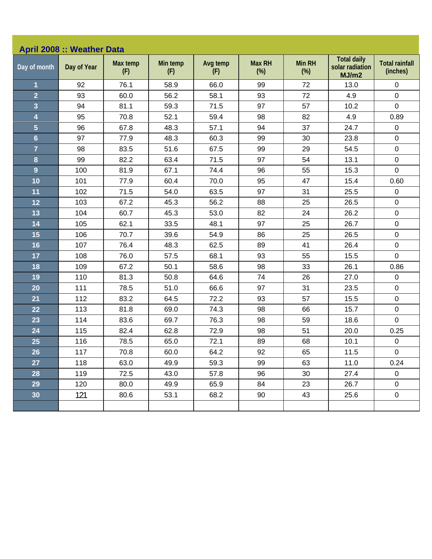| <b>April 2008 :: Weather Data</b> |             |                 |                 |                 |                         |                         |                                                |                                   |  |  |
|-----------------------------------|-------------|-----------------|-----------------|-----------------|-------------------------|-------------------------|------------------------------------------------|-----------------------------------|--|--|
| Day of month                      | Day of Year | Max temp<br>(F) | Min temp<br>(F) | Avg temp<br>(F) | <b>Max RH</b><br>$(\%)$ | <b>Min RH</b><br>$(\%)$ | <b>Total daily</b><br>solar radiation<br>MJ/m2 | <b>Total rainfall</b><br>(inches) |  |  |
| 1                                 | 92          | 76.1            | 58.9            | 66.0            | 99                      | 72                      | 13.0                                           | $\pmb{0}$                         |  |  |
| $\overline{2}$                    | 93          | 60.0            | 56.2            | 58.1            | 93                      | 72                      | 4.9                                            | $\mathbf 0$                       |  |  |
| 3                                 | 94          | 81.1            | 59.3            | 71.5            | 97                      | 57                      | 10.2                                           | $\pmb{0}$                         |  |  |
| 4                                 | 95          | 70.8            | 52.1            | 59.4            | 98                      | 82                      | 4.9                                            | 0.89                              |  |  |
| 5                                 | 96          | 67.8            | 48.3            | 57.1            | 94                      | 37                      | 24.7                                           | $\mathbf 0$                       |  |  |
| $6\phantom{a}$                    | 97          | 77.9            | 48.3            | 60.3            | 99                      | 30                      | 23.8                                           | $\mathsf 0$                       |  |  |
| $\overline{7}$                    | 98          | 83.5            | 51.6            | 67.5            | 99                      | 29                      | 54.5                                           | $\pmb{0}$                         |  |  |
| 8                                 | 99          | 82.2            | 63.4            | 71.5            | 97                      | 54                      | 13.1                                           | $\pmb{0}$                         |  |  |
| $\overline{9}$                    | 100         | 81.9            | 67.1            | 74.4            | 96                      | 55                      | 15.3                                           | $\mathbf 0$                       |  |  |
| 10                                | 101         | 77.9            | 60.4            | 70.0            | 95                      | 47                      | 15.4                                           | 0.60                              |  |  |
| 11                                | 102         | 71.5            | 54.0            | 63.5            | 97                      | 31                      | 25.5                                           | $\pmb{0}$                         |  |  |
| 12                                | 103         | 67.2            | 45.3            | 56.2            | 88                      | 25                      | 26.5                                           | $\pmb{0}$                         |  |  |
| 13                                | 104         | 60.7            | 45.3            | 53.0            | 82                      | 24                      | 26.2                                           | $\pmb{0}$                         |  |  |
| 14                                | 105         | 62.1            | 33.5            | 48.1            | 97                      | 25                      | 26.7                                           | $\pmb{0}$                         |  |  |
| 15                                | 106         | 70.7            | 39.6            | 54.9            | 86                      | 25                      | 26.5                                           | $\pmb{0}$                         |  |  |
| 16                                | 107         | 76.4            | 48.3            | 62.5            | 89                      | 41                      | 26.4                                           | $\pmb{0}$                         |  |  |
| 17                                | 108         | 76.0            | 57.5            | 68.1            | 93                      | 55                      | 15.5                                           | $\mathbf 0$                       |  |  |
| 18                                | 109         | 67.2            | 50.1            | 58.6            | 98                      | 33                      | 26.1                                           | 0.86                              |  |  |
| 19                                | 110         | 81.3            | 50.8            | 64.6            | 74                      | 26                      | 27.0                                           | $\pmb{0}$                         |  |  |
| 20                                | 111         | 78.5            | 51.0            | 66.6            | 97                      | 31                      | 23.5                                           | $\pmb{0}$                         |  |  |
| 21                                | 112         | 83.2            | 64.5            | 72.2            | 93                      | 57                      | 15.5                                           | $\mathsf 0$                       |  |  |
| 22                                | 113         | 81.8            | 69.0            | 74.3            | 98                      | 66                      | 15.7                                           | $\pmb{0}$                         |  |  |
| 23                                | 114         | 83.6            | 69.7            | 76.3            | 98                      | 59                      | 18.6                                           | $\mathbf 0$                       |  |  |
| 24                                | 115         | 82.4            | 62.8            | 72.9            | 98                      | 51                      | 20.0                                           | 0.25                              |  |  |
| 25                                | 116         | 78.5            | 65.0            | 72.1            | 89                      | 68                      | 10.1                                           | 0                                 |  |  |
| 26                                | 117         | 70.8            | 60.0            | 64.2            | 92                      | 65                      | 11.5                                           | $\pmb{0}$                         |  |  |
| 27                                | 118         | 63.0            | 49.9            | 59.3            | 99                      | 63                      | 11.0                                           | 0.24                              |  |  |
| 28                                | 119         | 72.5            | 43.0            | 57.8            | 96                      | 30                      | 27.4                                           | $\mathbf 0$                       |  |  |
| 29                                | 120         | 80.0            | 49.9            | 65.9            | 84                      | 23                      | 26.7                                           | 0                                 |  |  |
| 30 <sub>o</sub>                   | 121         | 80.6            | 53.1            | 68.2            | 90                      | 43                      | 25.6                                           | $\boldsymbol{0}$                  |  |  |
|                                   |             |                 |                 |                 |                         |                         |                                                |                                   |  |  |
|                                   |             |                 |                 |                 |                         |                         |                                                |                                   |  |  |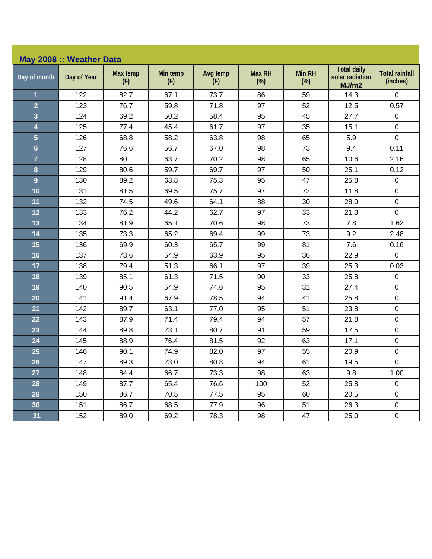| May 2008 :: Weather Data |             |                 |                 |                 |                         |                         |                                                |                                   |  |
|--------------------------|-------------|-----------------|-----------------|-----------------|-------------------------|-------------------------|------------------------------------------------|-----------------------------------|--|
| Day of month             | Day of Year | Max temp<br>(F) | Min temp<br>(F) | Avg temp<br>(F) | <b>Max RH</b><br>$(\%)$ | <b>Min RH</b><br>$(\%)$ | <b>Total daily</b><br>solar radiation<br>MJ/m2 | <b>Total rainfall</b><br>(inches) |  |
| 1                        | 122         | 82.7            | 67.1            | 73.7            | 86                      | 59                      | 14.3                                           | 0                                 |  |
| $\overline{2}$           | 123         | 76.7            | 59.8            | 71.8            | 97                      | 52                      | 12.5                                           | 0.57                              |  |
| 3                        | 124         | 69.2            | 50.2            | 58.4            | 95                      | 45                      | 27.7                                           | $\boldsymbol{0}$                  |  |
| 4                        | 125         | 77.4            | 45.4            | 61.7            | 97                      | 35                      | 15.1                                           | $\pmb{0}$                         |  |
| 5                        | 126         | 68.8            | 58.2            | 63.8            | 98                      | 65                      | 5.9                                            | $\mathbf 0$                       |  |
| $6\overline{6}$          | 127         | 76.6            | 56.7            | 67.0            | 98                      | 73                      | 9.4                                            | 0.11                              |  |
| $\overline{7}$           | 128         | 80.1            | 63.7            | 70.2            | 98                      | 65                      | 10.6                                           | 2.16                              |  |
| 8                        | 129         | 80.6            | 59.7            | 69.7            | 97                      | 50                      | 25.1                                           | 0.12                              |  |
| $\overline{9}$           | 130         | 89.2            | 63.8            | 75.3            | 95                      | 47                      | 25.8                                           | $\pmb{0}$                         |  |
| 10                       | 131         | 81.5            | 69.5            | 75.7            | 97                      | 72                      | 11.8                                           | $\mathbf 0$                       |  |
| 11                       | 132         | 74.5            | 49.6            | 64.1            | 88                      | 30                      | 28.0                                           | $\boldsymbol{0}$                  |  |
| 12                       | 133         | 76.2            | 44.2            | 62.7            | 97                      | 33                      | 21.3                                           | $\mathbf 0$                       |  |
| 13                       | 134         | 81.9            | 65.1            | 70.6            | 98                      | 73                      | 7.8                                            | 1.62                              |  |
| 14                       | 135         | 73.3            | 65.2            | 69.4            | 99                      | 73                      | 9.2                                            | 2.48                              |  |
| 15                       | 136         | 69.9            | 60.3            | 65.7            | 99                      | 81                      | 7.6                                            | 0.16                              |  |
| 16                       | 137         | 73.6            | 54.9            | 63.9            | 95                      | 36                      | 22.9                                           | $\mathbf 0$                       |  |
| 17                       | 138         | 79.4            | 51.3            | 66.1            | 97                      | 39                      | 25.3                                           | 0.03                              |  |
| 18                       | 139         | 85.1            | 61.3            | 71.5            | 90                      | 33                      | 25.8                                           | $\pmb{0}$                         |  |
| 19                       | 140         | 90.5            | 54.9            | 74.6            | 95                      | 31                      | 27.4                                           | $\pmb{0}$                         |  |
| 20                       | 141         | 91.4            | 67.9            | 78.5            | 94                      | 41                      | 25.8                                           | $\pmb{0}$                         |  |
| 21                       | 142         | 89.7            | 63.1            | 77.0            | 95                      | 51                      | 23.8                                           | $\boldsymbol{0}$                  |  |
| 22                       | 143         | 87.9            | 71.4            | 79.4            | 94                      | 57                      | 21.8                                           | $\boldsymbol{0}$                  |  |
| 23                       | 144         | 89.8            | 73.1            | 80.7            | 91                      | 59                      | 17.5                                           | $\mathbf 0$                       |  |
| 24                       | 145         | 88.9            | 76.4            | 81.5            | 92                      | 63                      | 17.1                                           | $\pmb{0}$                         |  |
| 25                       | 146         | 90.1            | 74.9            | 82.0            | 97                      | 55                      | 20.9                                           | $\boldsymbol{0}$                  |  |
| 26                       | 147         | 89.3            | 73.0            | 80.8            | 94                      | 61                      | 19.5                                           | $\mathbf 0$                       |  |
| 27                       | 148         | 84.4            | 66.7            | 73.3            | 98                      | 63                      | 9.8                                            | 1.00                              |  |
| 28                       | 149         | 87.7            | 65.4            | 76.6            | 100                     | 52                      | 25.8                                           | $\mathbf 0$                       |  |
| 29                       | 150         | 86.7            | 70.5            | 77.5            | 95                      | 60                      | 20.5                                           | $\mathbf 0$                       |  |
| 30                       | 151         | 86.7            | 68.5            | 77.9            | 96                      | 51                      | 26.3                                           | $\mathbf 0$                       |  |
| 31                       | 152         | 89.0            | 69.2            | 78.3            | 98                      | 47                      | 25.0                                           | $\mathbf 0$                       |  |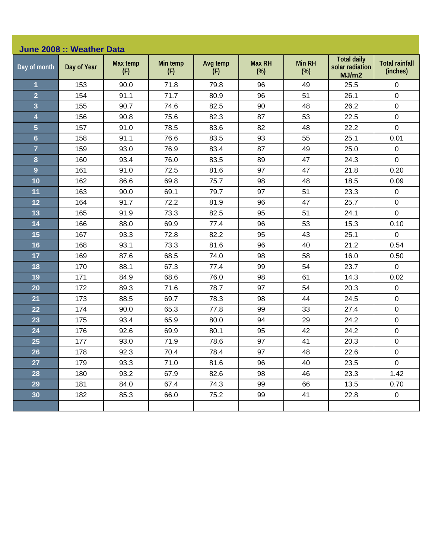| June 2008 :: Weather Data |             |                 |                 |                 |                         |                         |                                                |                                   |  |  |
|---------------------------|-------------|-----------------|-----------------|-----------------|-------------------------|-------------------------|------------------------------------------------|-----------------------------------|--|--|
| Day of month              | Day of Year | Max temp<br>(F) | Min temp<br>(F) | Avg temp<br>(F) | <b>Max RH</b><br>$(\%)$ | <b>Min RH</b><br>$(\%)$ | <b>Total daily</b><br>solar radiation<br>MJ/m2 | <b>Total rainfall</b><br>(inches) |  |  |
| 1                         | 153         | 90.0            | 71.8            | 79.8            | 96                      | 49                      | 25.5                                           | 0                                 |  |  |
| $\overline{2}$            | 154         | 91.1            | 71.7            | 80.9            | 96                      | 51                      | 26.1                                           | $\mathbf 0$                       |  |  |
| 3                         | 155         | 90.7            | 74.6            | 82.5            | 90                      | 48                      | 26.2                                           | $\pmb{0}$                         |  |  |
| 4                         | 156         | 90.8            | 75.6            | 82.3            | 87                      | 53                      | 22.5                                           | $\mathsf 0$                       |  |  |
| 5                         | 157         | 91.0            | 78.5            | 83.6            | 82                      | 48                      | 22.2                                           | $\mathbf 0$                       |  |  |
| $6\phantom{a}$            | 158         | 91.1            | 76.6            | 83.5            | 93                      | 55                      | 25.1                                           | 0.01                              |  |  |
| $\overline{7}$            | 159         | 93.0            | 76.9            | 83.4            | 87                      | 49                      | 25.0                                           | $\pmb{0}$                         |  |  |
| 8                         | 160         | 93.4            | 76.0            | 83.5            | 89                      | 47                      | 24.3                                           | $\mathbf 0$                       |  |  |
| 9                         | 161         | 91.0            | 72.5            | 81.6            | 97                      | 47                      | 21.8                                           | 0.20                              |  |  |
| 10                        | 162         | 86.6            | 69.8            | 75.7            | 98                      | 48                      | 18.5                                           | 0.09                              |  |  |
| 11                        | 163         | 90.0            | 69.1            | 79.7            | 97                      | 51                      | 23.3                                           | $\mathsf 0$                       |  |  |
| 12                        | 164         | 91.7            | 72.2            | 81.9            | 96                      | 47                      | 25.7                                           | 0                                 |  |  |
| 13                        | 165         | 91.9            | 73.3            | 82.5            | 95                      | 51                      | 24.1                                           | $\mathbf 0$                       |  |  |
| 14                        | 166         | 88.0            | 69.9            | 77.4            | 96                      | 53                      | 15.3                                           | 0.10                              |  |  |
| 15                        | 167         | 93.3            | 72.8            | 82.2            | 95                      | 43                      | 25.1                                           | 0                                 |  |  |
| 16                        | 168         | 93.1            | 73.3            | 81.6            | 96                      | 40                      | 21.2                                           | 0.54                              |  |  |
| 17                        | 169         | 87.6            | 68.5            | 74.0            | 98                      | 58                      | 16.0                                           | 0.50                              |  |  |
| 18                        | 170         | 88.1            | 67.3            | 77.4            | 99                      | 54                      | 23.7                                           | $\mathbf 0$                       |  |  |
| 19                        | 171         | 84.9            | 68.6            | 76.0            | 98                      | 61                      | 14.3                                           | 0.02                              |  |  |
| 20                        | 172         | 89.3            | 71.6            | 78.7            | 97                      | 54                      | 20.3                                           | $\mathsf 0$                       |  |  |
| 21                        | 173         | 88.5            | 69.7            | 78.3            | 98                      | 44                      | 24.5                                           | $\mathbf 0$                       |  |  |
| 22                        | 174         | 90.0            | 65.3            | 77.8            | 99                      | 33                      | 27.4                                           | $\pmb{0}$                         |  |  |
| 23                        | 175         | 93.4            | 65.9            | 80.0            | 94                      | 29                      | 24.2                                           | $\mathsf 0$                       |  |  |
| 24                        | 176         | 92.6            | 69.9            | 80.1            | 95                      | 42                      | 24.2                                           | $\pmb{0}$                         |  |  |
| 25                        | 177         | 93.0            | 71.9            | 78.6            | 97                      | 41                      | 20.3                                           | $\pmb{0}$                         |  |  |
| 26                        | 178         | 92.3            | 70.4            | 78.4            | 97                      | 48                      | 22.6                                           | $\mathbf 0$                       |  |  |
| 27                        | 179         | 93.3            | 71.0            | 81.6            | 96                      | 40                      | 23.5                                           | $\mathbf 0$                       |  |  |
| 28                        | 180         | 93.2            | 67.9            | 82.6            | 98                      | 46                      | 23.3                                           | 1.42                              |  |  |
| 29                        | 181         | 84.0            | 67.4            | 74.3            | 99                      | 66                      | 13.5                                           | 0.70                              |  |  |
| 30 <sub>o</sub>           | 182         | 85.3            | 66.0            | 75.2            | 99                      | 41                      | 22.8                                           | $\overline{0}$                    |  |  |
|                           |             |                 |                 |                 |                         |                         |                                                |                                   |  |  |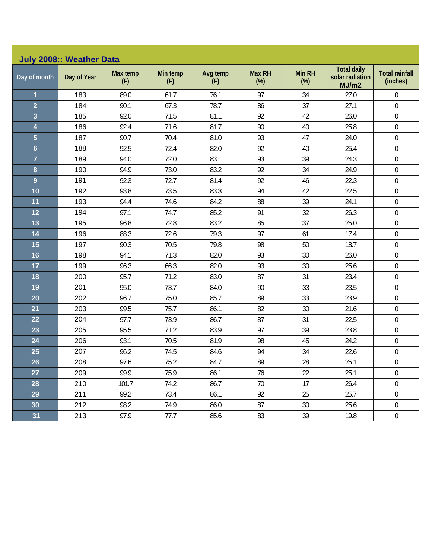| <b>July 2008:: Weather Data</b> |             |                 |                 |                 |                         |                         |                                                |                                   |  |  |  |
|---------------------------------|-------------|-----------------|-----------------|-----------------|-------------------------|-------------------------|------------------------------------------------|-----------------------------------|--|--|--|
| Day of month                    | Day of Year | Max temp<br>(F) | Min temp<br>(F) | Avg temp<br>(F) | <b>Max RH</b><br>$(\%)$ | <b>Min RH</b><br>$(\%)$ | <b>Total daily</b><br>solar radiation<br>MJ/m2 | <b>Total rainfall</b><br>(inches) |  |  |  |
| 1                               | 183         | 89.0            | 61.7            | 76.1            | 97                      | 34                      | 27.0                                           | $\boldsymbol{0}$                  |  |  |  |
| $\overline{2}$                  | 184         | 90.1            | 67.3            | 78.7            | 86                      | 37                      | 27.1                                           | $\boldsymbol{0}$                  |  |  |  |
| 3                               | 185         | 92.0            | 71.5            | 81.1            | 92                      | 42                      | 26.0                                           | $\boldsymbol{0}$                  |  |  |  |
| 4                               | 186         | 92.4            | 71.6            | 81.7            | 90                      | 40                      | 25.8                                           | $\mathbf 0$                       |  |  |  |
| $\overline{\mathbf{5}}$         | 187         | 90.7            | 70.4            | 81.0            | 93                      | 47                      | 24.0                                           | $\boldsymbol{0}$                  |  |  |  |
| $6\phantom{a}$                  | 188         | 92.5            | 72.4            | 82.0            | 92                      | 40                      | 25.4                                           | $\boldsymbol{0}$                  |  |  |  |
| $\overline{7}$                  | 189         | 94.0            | 72.0            | 83.1            | 93                      | 39                      | 24.3                                           | $\boldsymbol{0}$                  |  |  |  |
| 8                               | 190         | 94.9            | 73.0            | 83.2            | 92                      | 34                      | 24.9                                           | $\mathbf 0$                       |  |  |  |
| $\overline{9}$                  | 191         | 92.3            | 72.7            | 81.4            | 92                      | 46                      | 22.3                                           | $\boldsymbol{0}$                  |  |  |  |
| 10                              | 192         | 93.8            | 73.5            | 83.3            | 94                      | 42                      | 22.5                                           | $\boldsymbol{0}$                  |  |  |  |
| 11                              | 193         | 94.4            | 74.6            | 84.2            | 88                      | 39                      | 24.1                                           | $\boldsymbol{0}$                  |  |  |  |
| 12                              | 194         | 97.1            | 74.7            | 85.2            | 91                      | 32                      | 26.3                                           | $\boldsymbol{0}$                  |  |  |  |
| 13                              | 195         | 96.8            | 72.8            | 83.2            | 85                      | 37                      | 25.0                                           | $\boldsymbol{0}$                  |  |  |  |
| 14                              | 196         | 88.3            | 72.6            | 79.3            | 97                      | 61                      | 17.4                                           | $\boldsymbol{0}$                  |  |  |  |
| 15                              | 197         | 90.3            | 70.5            | 79.8            | 98                      | 50                      | 18.7                                           | $\boldsymbol{0}$                  |  |  |  |
| 16                              | 198         | 94.1            | 71.3            | 82.0            | 93                      | 30                      | 26.0                                           | $\boldsymbol{0}$                  |  |  |  |
| 17                              | 199         | 96.3            | 66.3            | 82.0            | 93                      | 30                      | 25.6                                           | $\mathbf 0$                       |  |  |  |
| 18                              | 200         | 95.7            | 71.2            | 83.0            | 87                      | 31                      | 23.4                                           | $\boldsymbol{0}$                  |  |  |  |
| 19                              | 201         | 95.0            | 73.7            | 84.0            | 90                      | 33                      | 23.5                                           | $\mathbf 0$                       |  |  |  |
| 20                              | 202         | 96.7            | 75.0            | 85.7            | 89                      | 33                      | 23.9                                           | $\boldsymbol{0}$                  |  |  |  |
| 21                              | 203         | 99.5            | 75.7            | 86.1            | 82                      | 30                      | 21.6                                           | $\boldsymbol{0}$                  |  |  |  |
| 22                              | 204         | 97.7            | 73.9            | 86.7            | 87                      | 31                      | 22.5                                           | $\boldsymbol{0}$                  |  |  |  |
| 23                              | 205         | 95.5            | 71.2            | 83.9            | 97                      | 39                      | 23.8                                           | $\mathbf 0$                       |  |  |  |
| 24                              | 206         | 93.1            | 70.5            | 81.9            | 98                      | 45                      | 24.2                                           | $\boldsymbol{0}$                  |  |  |  |
| 25                              | 207         | 96.2            | 74.5            | 84.6            | 94                      | 34                      | 22.6                                           | $\boldsymbol{0}$                  |  |  |  |
| 26                              | 208         | 97.6            | 75.2            | 84.7            | 89                      | 28                      | 25.1                                           | $\boldsymbol{0}$                  |  |  |  |
| 27                              | 209         | 99.9            | 75.9            | 86.1            | 76                      | 22                      | 25.1                                           | $\overline{0}$                    |  |  |  |
| 28                              | 210         | 101.7           | 74.2            | 86.7            | 70                      | 17                      | 26.4                                           | $\overline{0}$                    |  |  |  |
| 29                              | 211         | 99.2            | 73.4            | 86.1            | 92                      | 25                      | 25.7                                           | $\boldsymbol{0}$                  |  |  |  |
| 30 <sub>o</sub>                 | 212         | 98.2            | 74.9            | 86.0            | 87                      | $30\,$                  | 25.6                                           | $\boldsymbol{0}$                  |  |  |  |
| 31                              | 213         | 97.9            | 77.7            | 85.6            | 83                      | 39                      | 19.8                                           | $\boldsymbol{0}$                  |  |  |  |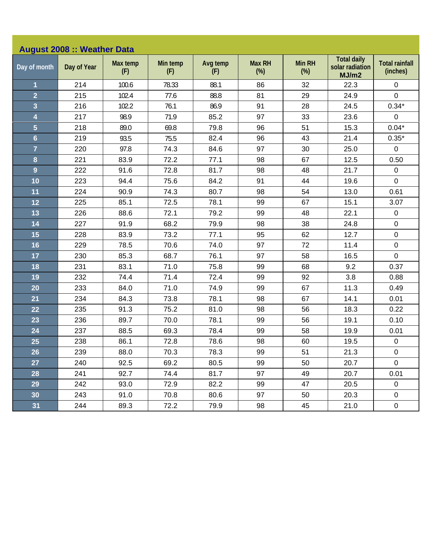| <b>August 2008 :: Weather Data</b> |             |                 |                 |                 |                         |                         |                                                |                                   |  |  |
|------------------------------------|-------------|-----------------|-----------------|-----------------|-------------------------|-------------------------|------------------------------------------------|-----------------------------------|--|--|
| Day of month                       | Day of Year | Max temp<br>(F) | Min temp<br>(F) | Avg temp<br>(F) | <b>Max RH</b><br>$(\%)$ | <b>Min RH</b><br>$(\%)$ | <b>Total daily</b><br>solar radiation<br>MJ/m2 | <b>Total rainfall</b><br>(inches) |  |  |
| $\mathbf{1}$                       | 214         | 100.6           | 78.33           | 88.1            | 86                      | 32                      | 22.3                                           | 0                                 |  |  |
| $\overline{2}$                     | 215         | 102.4           | 77.6            | 88.8            | 81                      | 29                      | 24.9                                           | $\mathbf 0$                       |  |  |
| 3                                  | 216         | 102.2           | 76.1            | 86.9            | 91                      | 28                      | 24.5                                           | $0.34*$                           |  |  |
| 4                                  | 217         | 98.9            | 71.9            | 85.2            | 97                      | 33                      | 23.6                                           | $\pmb{0}$                         |  |  |
| $\overline{5}$                     | 218         | 89.0            | 69.8            | 79.8            | 96                      | 51                      | 15.3                                           | $0.04*$                           |  |  |
| $6\phantom{a}$                     | 219         | 93.5            | 75.5            | 82.4            | 96                      | 43                      | 21.4                                           | $0.35*$                           |  |  |
| $\overline{7}$                     | 220         | 97.8            | 74.3            | 84.6            | 97                      | 30                      | 25.0                                           | $\pmb{0}$                         |  |  |
| 8                                  | 221         | 83.9            | 72.2            | 77.1            | 98                      | 67                      | 12.5                                           | 0.50                              |  |  |
| $\overline{9}$                     | 222         | 91.6            | 72.8            | 81.7            | 98                      | 48                      | 21.7                                           | $\pmb{0}$                         |  |  |
| 10                                 | 223         | 94.4            | 75.6            | 84.2            | 91                      | 44                      | 19.6                                           | $\mathbf 0$                       |  |  |
| 11                                 | 224         | 90.9            | 74.3            | 80.7            | 98                      | 54                      | 13.0                                           | 0.61                              |  |  |
| 12                                 | 225         | 85.1            | 72.5            | 78.1            | 99                      | 67                      | 15.1                                           | 3.07                              |  |  |
| 13                                 | 226         | 88.6            | 72.1            | 79.2            | 99                      | 48                      | 22.1                                           | $\pmb{0}$                         |  |  |
| 14                                 | 227         | 91.9            | 68.2            | 79.9            | 98                      | 38                      | 24.8                                           | $\pmb{0}$                         |  |  |
| 15                                 | 228         | 83.9            | 73.2            | 77.1            | 95                      | 62                      | 12.7                                           | $\mathbf 0$                       |  |  |
| 16                                 | 229         | 78.5            | 70.6            | 74.0            | 97                      | 72                      | 11.4                                           | $\pmb{0}$                         |  |  |
| 17                                 | 230         | 85.3            | 68.7            | 76.1            | 97                      | 58                      | 16.5                                           | $\mathbf 0$                       |  |  |
| 18                                 | 231         | 83.1            | 71.0            | 75.8            | 99                      | 68                      | 9.2                                            | 0.37                              |  |  |
| 19                                 | 232         | 74.4            | 71.4            | 72.4            | 99                      | 92                      | 3.8                                            | 0.88                              |  |  |
| 20                                 | 233         | 84.0            | 71.0            | 74.9            | 99                      | 67                      | 11.3                                           | 0.49                              |  |  |
| 21                                 | 234         | 84.3            | 73.8            | 78.1            | 98                      | 67                      | 14.1                                           | 0.01                              |  |  |
| 22                                 | 235         | 91.3            | 75.2            | 81.0            | 98                      | 56                      | 18.3                                           | 0.22                              |  |  |
| 23                                 | 236         | 89.7            | 70.0            | 78.1            | 99                      | 56                      | 19.1                                           | 0.10                              |  |  |
| 24                                 | 237         | 88.5            | 69.3            | 78.4            | 99                      | 58                      | 19.9                                           | 0.01                              |  |  |
| 25                                 | 238         | 86.1            | 72.8            | 78.6            | 98                      | 60                      | 19.5                                           | $\pmb{0}$                         |  |  |
| 26                                 | 239         | 88.0            | 70.3            | 78.3            | 99                      | 51                      | 21.3                                           | $\pmb{0}$                         |  |  |
| 27                                 | 240         | 92.5            | 69.2            | 80.5            | 99                      | 50                      | 20.7                                           | 0                                 |  |  |
| 28                                 | 241         | 92.7            | 74.4            | 81.7            | 97                      | 49                      | 20.7                                           | 0.01                              |  |  |
| 29                                 | 242         | 93.0            | 72.9            | 82.2            | 99                      | 47                      | 20.5                                           | 0                                 |  |  |
| 30                                 | 243         | 91.0            | 70.8            | 80.6            | 97                      | 50                      | 20.3                                           | $\mathsf 0$                       |  |  |
| 31                                 | 244         | 89.3            | 72.2            | 79.9            | 98                      | 45                      | 21.0                                           | $\pmb{0}$                         |  |  |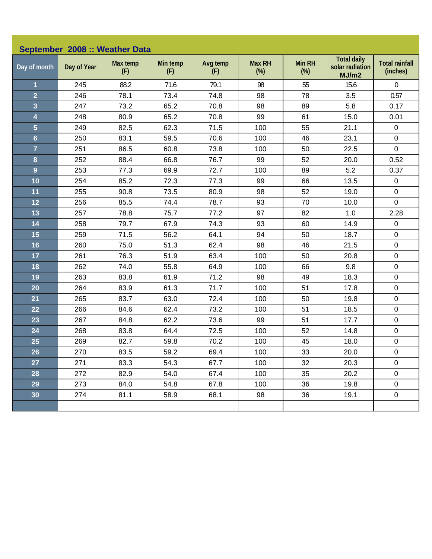| September 2008 :: Weather Data |             |                 |                 |                 |                         |                         |                                                |                                   |  |  |
|--------------------------------|-------------|-----------------|-----------------|-----------------|-------------------------|-------------------------|------------------------------------------------|-----------------------------------|--|--|
| Day of month                   | Day of Year | Max temp<br>(F) | Min temp<br>(F) | Avg temp<br>(F) | <b>Max RH</b><br>$(\%)$ | <b>Min RH</b><br>$(\%)$ | <b>Total daily</b><br>solar radiation<br>MJ/m2 | <b>Total rainfall</b><br>(inches) |  |  |
| $\overline{\mathbf{1}}$        | 245         | 88.2            | 71.6            | 79.1            | 98                      | 55                      | 15.6                                           | 0                                 |  |  |
| $\overline{2}$                 | 246         | 78.1            | 73.4            | 74.8            | 98                      | 78                      | 3.5                                            | 0.57                              |  |  |
| 3                              | 247         | 73.2            | 65.2            | 70.8            | 98                      | 89                      | 5.8                                            | 0.17                              |  |  |
| $\overline{\mathbf{4}}$        | 248         | 80.9            | 65.2            | 70.8            | 99                      | 61                      | 15.0                                           | 0.01                              |  |  |
| $\overline{5}$                 | 249         | 82.5            | 62.3            | 71.5            | 100                     | 55                      | 21.1                                           | $\pmb{0}$                         |  |  |
| $6\phantom{1}$                 | 250         | 83.1            | 59.5            | 70.6            | 100                     | 46                      | 23.1                                           | $\pmb{0}$                         |  |  |
| $\overline{7}$                 | 251         | 86.5            | 60.8            | 73.8            | 100                     | 50                      | 22.5                                           | $\pmb{0}$                         |  |  |
| 8                              | 252         | 88.4            | 66.8            | 76.7            | 99                      | 52                      | 20.0                                           | 0.52                              |  |  |
| $\overline{9}$                 | 253         | 77.3            | 69.9            | 72.7            | 100                     | 89                      | 5.2                                            | 0.37                              |  |  |
| 10                             | 254         | 85.2            | 72.3            | 77.3            | 99                      | 66                      | 13.5                                           | $\pmb{0}$                         |  |  |
| 11                             | 255         | 90.8            | 73.5            | 80.9            | 98                      | 52                      | 19.0                                           | $\pmb{0}$                         |  |  |
| 12                             | 256         | 85.5            | 74.4            | 78.7            | 93                      | 70                      | 10.0                                           | $\mathbf 0$                       |  |  |
| 13                             | 257         | 78.8            | 75.7            | 77.2            | 97                      | 82                      | 1.0                                            | 2.28                              |  |  |
| 14                             | 258         | 79.7            | 67.9            | 74.3            | 93                      | 60                      | 14.9                                           | $\pmb{0}$                         |  |  |
| 15                             | 259         | 71.5            | 56.2            | 64.1            | 94                      | 50                      | 18.7                                           | $\pmb{0}$                         |  |  |
| 16                             | 260         | 75.0            | 51.3            | 62.4            | 98                      | 46                      | 21.5                                           | $\mathbf 0$                       |  |  |
| 17                             | 261         | 76.3            | 51.9            | 63.4            | 100                     | 50                      | 20.8                                           | $\pmb{0}$                         |  |  |
| 18                             | 262         | 74.0            | 55.8            | 64.9            | 100                     | 66                      | 9.8                                            | $\pmb{0}$                         |  |  |
| 19                             | 263         | 83.8            | 61.9            | 71.2            | 98                      | 49                      | 18.3                                           | $\pmb{0}$                         |  |  |
| 20                             | 264         | 83.9            | 61.3            | 71.7            | 100                     | 51                      | 17.8                                           | $\pmb{0}$                         |  |  |
| 21                             | 265         | 83.7            | 63.0            | 72.4            | 100                     | 50                      | 19.8                                           | $\pmb{0}$                         |  |  |
| 22                             | 266         | 84.6            | 62.4            | 73.2            | 100                     | 51                      | 18.5                                           | $\pmb{0}$                         |  |  |
| 23                             | 267         | 84.8            | 62.2            | 73.6            | 99                      | 51                      | 17.7                                           | $\pmb{0}$                         |  |  |
| 24                             | 268         | 83.8            | 64.4            | 72.5            | 100                     | 52                      | 14.8                                           | $\pmb{0}$                         |  |  |
| 25                             | 269         | 82.7            | 59.8            | 70.2            | 100                     | 45                      | 18.0                                           | $\pmb{0}$                         |  |  |
| 26                             | 270         | 83.5            | 59.2            | 69.4            | 100                     | 33                      | 20.0                                           | $\mathbf 0$                       |  |  |
| 27                             | 271         | 83.3            | 54.3            | 67.7            | 100                     | 32                      | 20.3                                           | $\mathbf 0$                       |  |  |
| 28                             | 272         | 82.9            | 54.0            | 67.4            | 100                     | 35                      | 20.2                                           | $\pmb{0}$                         |  |  |
| 29                             | 273         | 84.0            | 54.8            | 67.8            | 100                     | 36                      | 19.8                                           | $\pmb{0}$                         |  |  |
| 30                             | 274         | 81.1            | 58.9            | 68.1            | 98                      | 36                      | 19.1                                           | $\pmb{0}$                         |  |  |
|                                |             |                 |                 |                 |                         |                         |                                                |                                   |  |  |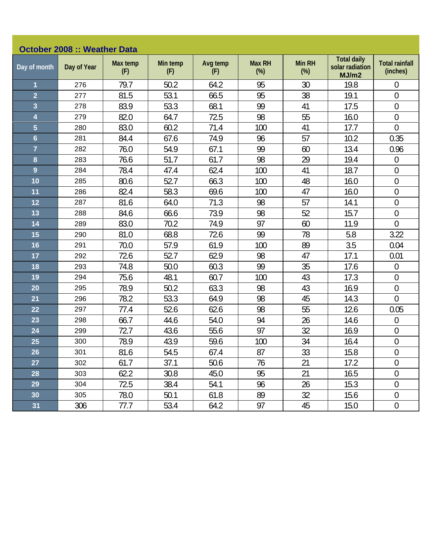| <b>October 2008 :: Weather Data</b> |             |                 |                 |                 |                         |                         |                                                |                                   |  |  |
|-------------------------------------|-------------|-----------------|-----------------|-----------------|-------------------------|-------------------------|------------------------------------------------|-----------------------------------|--|--|
| Day of month                        | Day of Year | Max temp<br>(F) | Min temp<br>(F) | Avg temp<br>(F) | <b>Max RH</b><br>$(\%)$ | <b>Min RH</b><br>$(\%)$ | <b>Total daily</b><br>solar radiation<br>MJ/m2 | <b>Total rainfall</b><br>(inches) |  |  |
| $\overline{\mathbf{1}}$             | 276         | 79.7            | 50.2            | 64.2            | 95                      | 30                      | 19.8                                           | $\theta$                          |  |  |
| $\overline{2}$                      | 277         | 81.5            | 53.1            | 66.5            | 95                      | 38                      | 19.1                                           | $\mathbf{0}$                      |  |  |
| 3                                   | 278         | 83.9            | 53.3            | 68.1            | 99                      | 41                      | 17.5                                           | $\mathbf 0$                       |  |  |
| 4                                   | 279         | 82.0            | 64.7            | 72.5            | 98                      | 55                      | 16.0                                           | $\boldsymbol{0}$                  |  |  |
| $\overline{5}$                      | 280         | 83.0            | 60.2            | 71.4            | 100                     | 41                      | 17.7                                           | $\mathbf 0$                       |  |  |
| $6\phantom{a}$                      | 281         | 84.4            | 67.6            | 74.9            | 96                      | 57                      | 10.2                                           | 0.35                              |  |  |
| $\overline{7}$                      | 282         | 76.0            | 54.9            | 67.1            | 99                      | 60                      | 13.4                                           | 0.96                              |  |  |
| 8                                   | 283         | 76.6            | 51.7            | 61.7            | 98                      | 29                      | 19.4                                           | $\overline{0}$                    |  |  |
| $\overline{9}$                      | 284         | 78.4            | 47.4            | 62.4            | 100                     | 41                      | 18.7                                           | $\overline{0}$                    |  |  |
| 10                                  | 285         | 80.6            | 52.7            | 66.3            | 100                     | 48                      | 16.0                                           | $\mathbf 0$                       |  |  |
| 11                                  | 286         | 82.4            | 58.3            | 69.6            | 100                     | 47                      | 16.0                                           | $\boldsymbol{0}$                  |  |  |
| 12                                  | 287         | 81.6            | 64.0            | 71.3            | 98                      | 57                      | 14.1                                           | $\mathbf 0$                       |  |  |
| 13                                  | 288         | 84.6            | 66.6            | 73.9            | 98                      | 52                      | 15.7                                           | $\overline{0}$                    |  |  |
| 14                                  | 289         | 83.0            | 70.2            | 74.9            | 97                      | 60                      | 11.9                                           | $\mathbf 0$                       |  |  |
| 15                                  | 290         | 81.0            | 68.8            | 72.6            | 99                      | 78                      | 5.8                                            | 3.22                              |  |  |
| 16                                  | 291         | 70.0            | 57.9            | 61.9            | 100                     | 89                      | 3.5                                            | 0.04                              |  |  |
| 17                                  | 292         | 72.6            | 52.7            | 62.9            | 98                      | 47                      | 17.1                                           | 0.01                              |  |  |
| 18                                  | 293         | 74.8            | 50.0            | 60.3            | 99                      | 35                      | 17.6                                           | $\boldsymbol{0}$                  |  |  |
| 19                                  | 294         | 75.6            | 48.1            | 60.7            | 100                     | 43                      | 17.3                                           | $\boldsymbol{0}$                  |  |  |
| 20                                  | 295         | 78.9            | 50.2            | 63.3            | 98                      | 43                      | 16.9                                           | $\mathbf 0$                       |  |  |
| 21                                  | 296         | 78.2            | 53.3            | 64.9            | 98                      | 45                      | 14.3                                           | $\overline{0}$                    |  |  |
| 22                                  | 297         | 77.4            | 52.6            | 62.6            | 98                      | 55                      | 12.6                                           | 0.05                              |  |  |
| 23                                  | 298         | 66.7            | 44.6            | 54.0            | 94                      | 26                      | 14.6                                           | $\mathbf 0$                       |  |  |
| 24                                  | 299         | 72.7            | 43.6            | 55.6            | 97                      | 32                      | 16.9                                           | $\mathbf 0$                       |  |  |
| 25                                  | 300         | 78.9            | 43.9            | 59.6            | 100                     | 34                      | 16.4                                           | $\boldsymbol{0}$                  |  |  |
| 26                                  | 301         | 81.6            | 54.5            | 67.4            | 87                      | 33                      | 15.8                                           | $\mathbf 0$                       |  |  |
| 27                                  | 302         | 61.7            | 37.1            | 50.6            | 76                      | 21                      | 17.2                                           | $\boldsymbol{0}$                  |  |  |
| 28                                  | 303         | 62.2            | 30.8            | 45.0            | 95                      | 21                      | 16.5                                           | $\boldsymbol{0}$                  |  |  |
| 29                                  | 304         | 72.5            | 38.4            | 54.1            | 96                      | 26                      | 15.3                                           | $\theta$                          |  |  |
| 30                                  | 305         | 78.0            | 50.1            | 61.8            | 89                      | 32                      | 15.6                                           | $\boldsymbol{0}$                  |  |  |
| 31                                  | 306         | 77.7            | 53.4            | 64.2            | 97                      | 45                      | 15.0                                           | $\boldsymbol{0}$                  |  |  |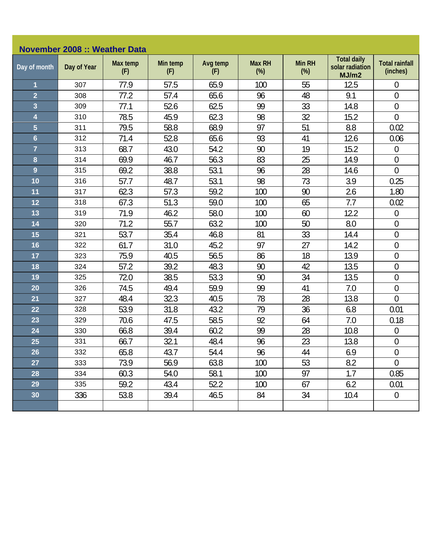| <b>November 2008 :: Weather Data</b> |             |                 |                 |                 |                      |                  |                                                |                                   |  |  |
|--------------------------------------|-------------|-----------------|-----------------|-----------------|----------------------|------------------|------------------------------------------------|-----------------------------------|--|--|
| Day of month                         | Day of Year | Max temp<br>(F) | Min temp<br>(F) | Avg temp<br>(F) | <b>Max RH</b><br>(%) | Min RH<br>$(\%)$ | <b>Total daily</b><br>solar radiation<br>MJ/m2 | <b>Total rainfall</b><br>(inches) |  |  |
| $\overline{\mathbf{1}}$              | 307         | 77.9            | 57.5            | 65.9            | 100                  | 55               | 12.5                                           | $\mathbf 0$                       |  |  |
| $\overline{2}$                       | 308         | 77.2            | 57.4            | 65.6            | 96                   | 48               | 9.1                                            | $\boldsymbol{0}$                  |  |  |
| 3                                    | 309         | 77.1            | 52.6            | 62.5            | 99                   | 33               | 14.8                                           | $\mathbf 0$                       |  |  |
| 4                                    | 310         | 78.5            | 45.9            | 62.3            | 98                   | 32               | 15.2                                           | $\mathbf 0$                       |  |  |
| $\overline{5}$                       | 311         | 79.5            | 58.8            | 68.9            | 97                   | 51               | 8.8                                            | 0.02                              |  |  |
| $6\phantom{a}$                       | 312         | 71.4            | 52.8            | 65.6            | 93                   | 41               | 12.6                                           | 0.06                              |  |  |
| $\overline{7}$                       | 313         | 68.7            | 43.0            | 54.2            | 90                   | 19               | 15.2                                           | $\boldsymbol{0}$                  |  |  |
| 8                                    | 314         | 69.9            | 46.7            | 56.3            | 83                   | 25               | 14.9                                           | $\mathbf 0$                       |  |  |
| 9                                    | 315         | 69.2            | 38.8            | 53.1            | 96                   | 28               | 14.6                                           | $\overline{0}$                    |  |  |
| 10                                   | 316         | 57.7            | 48.7            | 53.1            | 98                   | 73               | 3.9                                            | 0.25                              |  |  |
| 11                                   | 317         | 62.3            | 57.3            | 59.2            | 100                  | 90               | 2.6                                            | 1.80                              |  |  |
| 12                                   | 318         | 67.3            | 51.3            | 59.0            | 100                  | 65               | 7.7                                            | 0.02                              |  |  |
| 13                                   | 319         | 71.9            | 46.2            | 58.0            | 100                  | 60               | 12.2                                           | $\boldsymbol{0}$                  |  |  |
| 14                                   | 320         | 71.2            | 55.7            | 63.2            | 100                  | 50               | 8.0                                            | $\boldsymbol{0}$                  |  |  |
| 15                                   | 321         | 53.7            | 35.4            | 46.8            | 81                   | 33               | 14.4                                           | $\boldsymbol{0}$                  |  |  |
| 16                                   | 322         | 61.7            | 31.0            | 45.2            | 97                   | 27               | 14.2                                           | $\mathbf 0$                       |  |  |
| 17                                   | 323         | 75.9            | 40.5            | 56.5            | 86                   | 18               | 13.9                                           | $\boldsymbol{0}$                  |  |  |
| 18                                   | 324         | 57.2            | 39.2            | 48.3            | 90                   | 42               | 13.5                                           | $\boldsymbol{0}$                  |  |  |
| 19                                   | 325         | 72.0            | 38.5            | 53.3            | 90                   | 34               | 13.5                                           | $\boldsymbol{0}$                  |  |  |
| 20                                   | 326         | 74.5            | 49.4            | 59.9            | 99                   | 41               | 7.0                                            | $\mathbf 0$                       |  |  |
| 21                                   | 327         | 48.4            | 32.3            | 40.5            | 78                   | 28               | 13.8                                           | $\overline{0}$                    |  |  |
| 22                                   | 328         | 53.9            | 31.8            | 43.2            | 79                   | 36               | 6.8                                            | 0.01                              |  |  |
| 23                                   | 329         | 70.6            | 47.5            | 58.5            | 92                   | 64               | 7.0                                            | 0.18                              |  |  |
| 24                                   | 330         | 66.8            | 39.4            | 60.2            | 99                   | 28               | 10.8                                           | $\overline{0}$                    |  |  |
| 25                                   | 331         | 66.7            | 32.1            | 48.4            | 96                   | 23               | 13.8                                           | $\boldsymbol{0}$                  |  |  |
| 26                                   | 332         | 65.8            | 43.7            | 54.4            | 96                   | 44               | 6.9                                            | $\overline{0}$                    |  |  |
| 27                                   | 333         | 73.9            | 56.9            | 63.8            | 100                  | 53               | 8.2                                            | $\theta$                          |  |  |
| 28                                   | 334         | 60.3            | 54.0            | 58.1            | 100                  | 97               | 1.7                                            | 0.85                              |  |  |
| 29                                   | 335         | 59.2            | 43.4            | 52.2            | 100                  | 67               | 6.2                                            | 0.01                              |  |  |
| 30                                   | 336         | 53.8            | 39.4            | 46.5            | 84                   | 34               | 10.4                                           | $\mathbf 0$                       |  |  |
|                                      |             |                 |                 |                 |                      |                  |                                                |                                   |  |  |